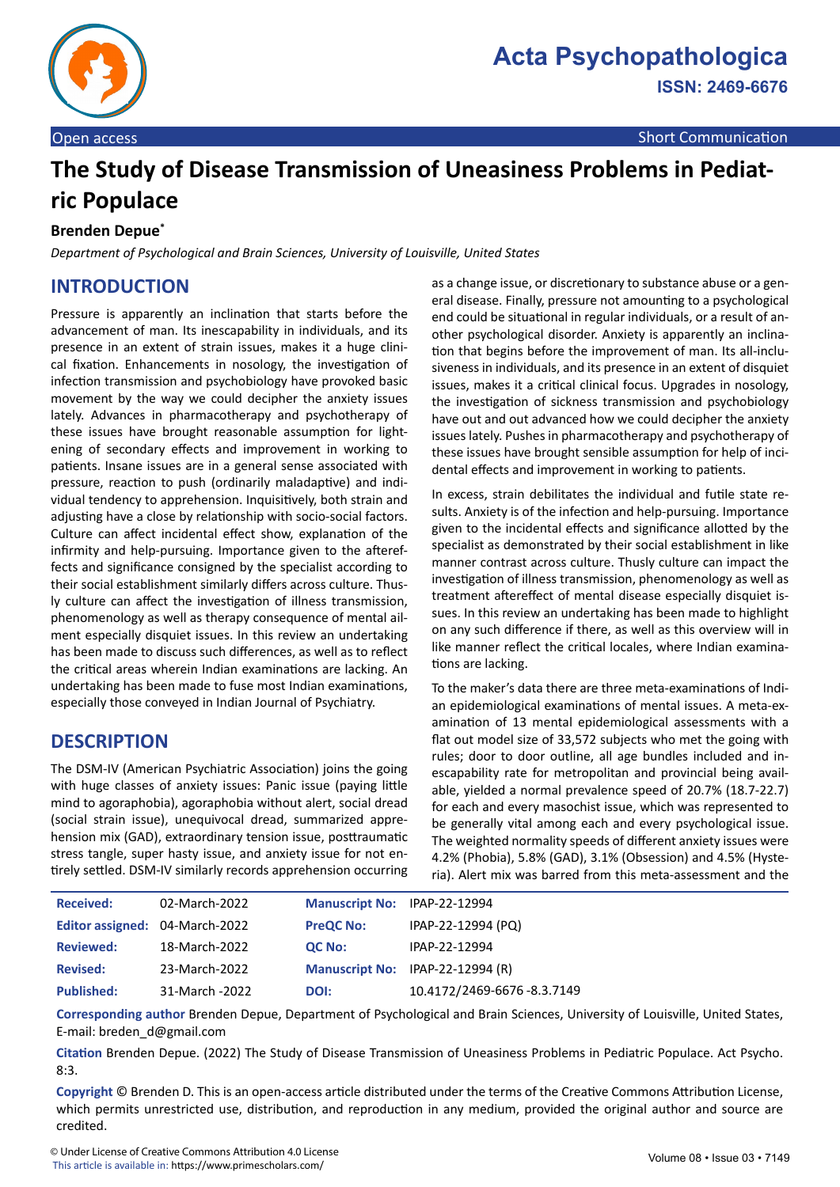

# **The Study of Disease Transmission of Uneasiness Problems in Pediatric Populace**

#### **Brenden Depue\***

*Department of Psychological and Brain Sciences, University of Louisville, United States*

# **INTRODUCTION**

Pressure is apparently an inclination that starts before the advancement of man. Its inescapability in individuals, and its presence in an extent of strain issues, makes it a huge clinical fixation. Enhancements in nosology, the investigation of infection transmission and psychobiology have provoked basic movement by the way we could decipher the anxiety issues lately. Advances in pharmacotherapy and psychotherapy of these issues have brought reasonable assumption for lightening of secondary effects and improvement in working to patients. Insane issues are in a general sense associated with pressure, reaction to push (ordinarily maladaptive) and individual tendency to apprehension. Inquisitively, both strain and adjusting have a close by relationship with socio-social factors. Culture can affect incidental effect show, explanation of the infirmity and help-pursuing. Importance given to the aftereffects and significance consigned by the specialist according to their social establishment similarly differs across culture. Thusly culture can affect the investigation of illness transmission, phenomenology as well as therapy consequence of mental ailment especially disquiet issues. In this review an undertaking has been made to discuss such differences, as well as to reflect the critical areas wherein Indian examinations are lacking. An undertaking has been made to fuse most Indian examinations, especially those conveyed in Indian Journal of Psychiatry.

# **DESCRIPTION**

The DSM-IV (American Psychiatric Association) joins the going with huge classes of anxiety issues: Panic issue (paying little mind to agoraphobia), agoraphobia without alert, social dread (social strain issue), unequivocal dread, summarized apprehension mix (GAD), extraordinary tension issue, posttraumatic stress tangle, super hasty issue, and anxiety issue for not entirely settled. DSM-IV similarly records apprehension occurring as a change issue, or discretionary to substance abuse or a general disease. Finally, pressure not amounting to a psychological end could be situational in regular individuals, or a result of another psychological disorder. Anxiety is apparently an inclination that begins before the improvement of man. Its all-inclusiveness in individuals, and its presence in an extent of disquiet issues, makes it a critical clinical focus. Upgrades in nosology, the investigation of sickness transmission and psychobiology have out and out advanced how we could decipher the anxiety issues lately. Pushes in pharmacotherapy and psychotherapy of these issues have brought sensible assumption for help of incidental effects and improvement in working to patients.

In excess, strain debilitates the individual and futile state results. Anxiety is of the infection and help-pursuing. Importance given to the incidental effects and significance allotted by the specialist as demonstrated by their social establishment in like manner contrast across culture. Thusly culture can impact the investigation of illness transmission, phenomenology as well as treatment aftereffect of mental disease especially disquiet issues. In this review an undertaking has been made to highlight on any such difference if there, as well as this overview will in like manner reflect the critical locales, where Indian examinations are lacking.

To the maker's data there are three meta-examinations of Indian epidemiological examinations of mental issues. A meta-examination of 13 mental epidemiological assessments with a flat out model size of 33,572 subjects who met the going with rules; door to door outline, all age bundles included and inescapability rate for metropolitan and provincial being available, yielded a normal prevalence speed of 20.7% (18.7-22.7) for each and every masochist issue, which was represented to be generally vital among each and every psychological issue. The weighted normality speeds of different anxiety issues were 4.2% (Phobia), 5.8% (GAD), 3.1% (Obsession) and 4.5% (Hysteria). Alert mix was barred from this meta-assessment and the

| <b>Received:</b>               | 02-March-2022  | Manuscript No: IPAP-22-12994 |                                  |
|--------------------------------|----------------|------------------------------|----------------------------------|
| Editor assigned: 04-March-2022 |                | <b>PreQC No:</b>             | IPAP-22-12994 (PQ)               |
| <b>Reviewed:</b>               | 18-March-2022  | <b>QC No:</b>                | IPAP-22-12994                    |
| <b>Revised:</b>                | 23-March-2022  |                              | Manuscript No: IPAP-22-12994 (R) |
| <b>Published:</b>              | 31-March -2022 | DOI:                         | 10.4172/2469-6676-8.3.7149       |

**Corresponding author** Brenden Depue, Department of Psychological and Brain Sciences, University of Louisville, United States, E-mail: breden\_d@gmail.com

**Citation** Brenden Depue. (2022) The Study of Disease Transmission of Uneasiness Problems in Pediatric Populace. Act Psycho. 8:3.

**Copyright** © Brenden D. This is an open-access article distributed under the terms of the Creative Commons Attribution License, which permits unrestricted use, distribution, and reproduction in any medium, provided the original author and source are credited.